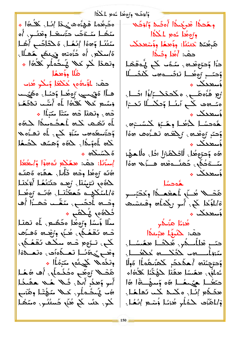وَأَوْحَلا وَرُوهُا مُوم الْكَلَا هَ أَهْمَاءَ هُجْءٌهِ هِي مُؤْلِمٍ إِسْلَ لِلْكُلُّ وَالْمُحَمَّدِينَ مِنْ الْمَحْمَدِينَ مِنْ الْمَ مَمْعًا مَنْدَكُب حَبَّىهْما وِهْلُس، أَه مَنْسُلَ وَهِوَا إِنْعُلَ. هَكْذَاكُب أَهْل أَلْمَعْهُمْ مِنْدَرَهُ مِنْ مَدْرَاةٍ مِنْ الْمَسَاءِ وتعدًا كُر كَلا هُمشُملُو كَلاُهُ! \* حُلًا وؤُهِمًا حقَّ: الْأَمِثُومِ يُخْلَقُوا وَمِكْنٍ هُزَم بمرثِهُه بالنَّامُ المُوهَ الصَّرَوْهُ الْكَامَ وَسَمَع كَلا كَلاَهُ} أَه أَمَنَّب ثَلاَكُمُ; دُهِ . وِتَعِبْلُ دُهِ مِنْنَا مُتِبَلَّا \* لَه تَقْمِ لَاهِ اْمِثْمِسْلَا لِهِ هُ وَحَتَّمَعَكُمُونَ مَكَّنَّوَ كُلْمٍ. لَمَا تَصَنُّوهُ لَاه لَمَوۡمَدٗا }. لاَهُم وۡعَسَٰفَ لِكَـٰمُا  $\bullet$  ortho  $\bullet$ إِسْتَمَاءُ: حَقَّ: مَعْمَلُكُمْ شَهْوَا وَالْمَعْمَا هُنَه مُوهُل وِجْمَ دُّلْها. هَدَّزَه هُمَنَه لِهُومِ تَوَمِّنْنَا. رُهِــهِ حَتَّنَتُمُـا أَوْكُنْـا ة/لمَكْلِم حُمعَتْنْها. هُنَه رُوهُما وِحْده لمُحمَّبٍ. مَنْقُب دُهدَٰٓا أُف ثُلاةُه، هُلْكُمْ \* مِثْلًا وُمِئْلًا وِرُوهُا وَحُصُّصٍ. لِمَ تَعْلَى تَــهِ تَقَعُّـكَلِ. هُــَنِ وِرُقِــهِ هَفــَهَ ݣُلْمِ. تْـؤُومْ تْـْهْ مْكْتْ تْقْفُلُمْ. وَلَدْهُ لِمَ أَلْمَامِنُهُمْ مِنْتُوبًا ﴾ [ هُصْلاً رُوهُم وكُنُّولُمْ. أَفْ هُمُـا أَسِ وَهَدُم أَنهَ. ثَــلا هُــلا هقَنْدُا ھُڡۘ لَیُحُملُنِ. کَــلا مَکْتُـل وِھُنٓب ِكُر. د*ِنَد كُ*رِ هُزَرٍ كَس*لاُو. مِمْعُ*ا

وهُحِدًا مْدِجُمَّا أُوصَّهَ وَأَوْحَٰلا وروهدا شوم المكلا هُرمُكُمْ كَبْتُلًا: وِؤْهِمُا وِؤْسْعِدِكْت حقَّ: أَهُل وصَّدُل دُا وَحرِّهِ هُده . مَمْهُ ۚ كُلِّ إِنَّهَ قَهْلًا وُحمّـــر وُوهُــــا تَاكَــــــــــــەمـــ كَلْمُـَـــــُلا inectors رُعِ قُنُوهُــــى. وكُحِنْكُـــرَّاوُا ائْـــا. ەڭــەت كَــى آىئــا وُتكَـــأَا ئَحـــْزا ۆمىعىك ھ هُوجِسُلِ جُرْهُما وِهُجُو كُمِسْجِرِهِ . وَحِمَٰرٍ رَوِهُــِهِ . رَجِعْـُـهِ نَصَرُوها هوَا ۇمعدىك ھ هُه وُحرِّهِهُا. لُاتَـكِـهُـزُلِ آمَا. هِلْلَـعِـهُـز مَّــةَدُمَّهِ. دَعَشُــه هُدَه هــزَمه ههُ include حُدممُا هُصْــلا هُـــزٌ، أَـمعْـمــدًا وكتّزِــــر ة/لمُوَّكُم كُلْمَ . أُس رِيُّدمُاه وقسسْمعا include هُزْمًا هِنُمْدٍ حقَّ: حَبُوفُها هزَّمَلاً حنّبِ هَلِلُمــدُبِ. هَٰـدُــا همَّـسُــا. مَنْزَوْلُمْــــــــرَّ بِــَـــرَبِّـــرَّ مِنْ حُكْمُـــــــلَ وَحرْجِئْتُه أَحكَمْدَ بِكَعْنُمِثُمَا أَوْلًا ثَمِلُوو. مِعْسُلِ مِفَتَلِ لِكِيتِّبَا لِكُوواءِ أَثَّةُ التَّاسِمُ مِنْ الْمُعْرِفَةُ الْمُحْمَدِّي ھکّھُم اِنُا. ہگنے گب تقلمُا. وْالْمَنَّوْتِ حَدْمَلُو هُوْسًا وُسْعِرٍ إِنَّعْلَ.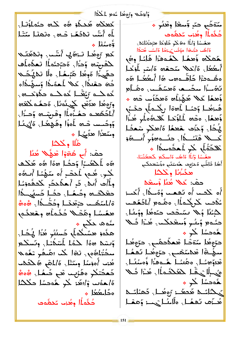مَّةَكُم حَبَّ وُّمَعْظَ وَقَبُلُوا \*

مَلاَدَّةُ)ُ كُم أَحَدُّه مَلَّا \*

هُەدىئا كُر ۞

ْهُ دَسُل كُمْ \*

هدٌٰۥُنُا وِ تَكْشَا

كُنْمَلًا وهُزم مُكفَّدت

وَأَوْحَلا وَرُوهُا مُوم الْكَلَا كعكله هُدِمُو هُو كُله حِنُواؤُثا. لَم أَننُت تَدَكَّمُ: دْ. وتَعِنْدَ مَنْتَهَ مَعَّسُا وَ*ا*لُمَّا وَهُ كَر كَاوْكُا مَرَّدَٰاللَّكَا.<br>كَاهُــ تَبُـــــوْا وَوَّتَـــ كَـــْتَــا كَامِنَـــ مَّتـَـدْا ۋەمئلاً \* كَعِ رُوهُـا نَـ;هُلِي أَمَنَّـبٍ. وِنَـكِمَنَـٰـلا هَعِكُلُو وُهِمًا كُمُّوصَرًا فَاسًا وِشَ لِكَفَوِيبُهِ ۖ وَحُزًّا ﴾ وَحَرَّحَتُهِ أَلَّا تَـعَكُمَاتُ ۖ أعفعُل: 1⁄2 مُكْسِد مُحمَّد 1⁄2 مُ مُحَمَّد حَفِّيءُا هُوِهُا هُبُسُا. هِلْا تَمْلَمُكُ وَهُــونَـٰٓا كَاقُــوهـ هَٰا أَيعُعُــا هَو دُهَ حقيدًا. كَلا لَمْعَمْدًا وَسَهَّىدًا» ئَھُ۔ أَا مَحَْتَ هُ مَمْتَكَبٍ. وَهُنَّامِ ئدهك رُبُغْسا يُدهك حكْوْنْدە . وَّهمَا كَمَلا هَيْمَ:لَه هَهَدَّاَس دُه \* وِرُوهُا هِدَهُم كَبِيشَهُ أَ. هُجِعَه كَعْدُه فَنوْهُـا وُدْـا الْ10\$ رِنْكـەلُمْ حَدْبُهِ أَلْمَٰهُ هَــدُ مَــأَولًا وِقْرِبْـــرَّ وَحَــزًا. ؤُهمًا. ودُه لْمَأْنُمَا لَكُمُومَٰهُ هُـٰۥًا وُوحَىــب حْــرَه لِمُوزًا وِهَٰجِعَـٰا. هَٰإِيْـنَا لَجِحًا. وَجَدَت حَصِمًا وَأَهْلَابِ عَمَدًا ومنعنا هديل و كَــــلا قْتَنْـــدًا. حنُـــە‰ْرٖ أَبـــ%َوْ هُلَا وكُلمًا حفَ: أَبِ هُوَّةٍ هُوَّى هُمَّا همَّسُل وَ*الْحَاهُمَا وَاسْكُمْ لَكْمَعَتَتُمَا*. هُه لَمَعْسَرًا وَحِصًا هٰهُا هُه هَٰدُكَ أَهُا دَّاتُب هَٰذُود حَدَّمتَ وَأَسْعِدَكَب كْتُرٍ. هُـُمْ لْمَحْتَ أُه مَّهُمًا أَنْتُهُه حقّ: كَمِلا هُلُا وْمِعْكُمْ وِلْأَتِ أَبِيْ. ثُم أَحْكُمْكُمْ كُحَقُّوْمُا أَه لَكْتُبُ أَه تُعْمَىنَ وُّهُنَـٰٰهُا ۚ. أَنُّنَىـٰٓ: حَقَلَتَــْـهِ وِحُـمُــاً. حَثُــاً خَسْيُــدًا ة/لمَمْعَـــــ دَبِّعْـــا ودُخُـــدًا. هُوهُ مُكْاتِب كْرِبُكْتْمَالْ. وْهُتْتُومْ ٱلْمُكْتَفْت لِّكْتُلَا وُلاَ سَمْتَعْبَ حَمَّاهُا وَوُسُلَ همّْسُا وِمَٰنَكُمْ دُخُمْلُو وِحْعِدُهِ حِثَّـهِ مِ مُنْـرٍ وَمَتَّقَدَلَاتٍ. هُــْزَا شَــلا مئەھ مكىم \* هذُه; هِمَّىْكُمْلِ كَسْلُو هُزَا لِمُحَالِ حرِّهِهُا مَّةَدًا هُمَأْحَقُبٍ. حَرِّهِهُـا وَسِيْدِ 160 كِلْمَاءِ أَسْلَمْتِيا. وِيَسْكُمْ مدَّتُٰٓاءُوں ِ نَوْا گُ اصَّفُرِ مَعُومِد سَمُّةً شَدَسَّعَبٍ. حَرَّوهُما تَعْمَا قْدَوُه صُلَّى مِمُبْسَلَ هُـوْمَا وُْمِمْنُسْلَ هُذِبٍ أُوفِيدًا وِيمَتْلَ. ة/ أَهْلِ هَ لَكُلْف كَعثَنْكُر ەفَرُبْ شَمْ كُنْفَا. ۋەڭ مَحْمَدُ انْمَهْ الْمَكْكُمُ الْقَرِرَ الْمِرْهِ ة/هؤب وْ/اهْز كْر هُوصِبًا حِكْلِيًا ەدًا ئەدىئا ، حُذُه أُل وهُزم مُحقَّوت

حكائكا مُحمَّـ: رُومُــا. كَعْلَيْــا هُــزَم تَعمُــل ولَّاسُـل يَحب وَممْــل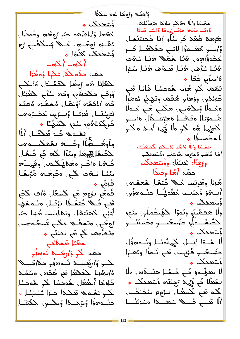وَأَوْحَدٍ وَوَهُدا مُومِ الْكَلَا همَّسُا وْالْمَا هَ كُر كَاوْكُا هَرَدُنَائِهِ. inació أَمُتَهُ تَمُواهَ الْمَهْرَضَاتِهِمْ وَاتَّقَاهُمْ الْمَحْمَدِينَ كَعْعْدًا وْالْمَوْرَهُمْ حَبّْرٍ رُومُدُه وِخُوطُرًا. هُبْعِدا هُعْدا كُرِ سُلُّوْ إِبْلِ كُحِنْتِيُغُلِ. ئَكَّـزَهُ وَوَهْــرَهِ . كَـــلا وَسَلَكَفَـــع وُع وَّا بِ كَعْدَوْا لُهْبِ حَكُلْغُكَ كَبِ ؤْسْعِدْكُمْ لْمَلْأَهُ ﴾ لَحْثُوَةُ/وهِ . وَهُلُّ هُهْلًا وَهُلُّ لَـُوْتَ  $\frac{1}{2}$   $\frac{1}{2}$   $\frac{1}{2}$   $\frac{1}{2}$ هُنُا مُآفٍ. هُنُا هُـهُوَ هُنُا مُـٓـْ إِ حفَّ: حَذُّهِ حَذَّا شَكْرًا وُوهُدًا ەُ مەنَّى ھُتْل \* لْمَعَالًا هَ وَوَهُا لِكَمَّتْ!. هَا تَكُم نَّقْعَا لَمْرٍ هُٰذًا هُاصُلُمْ قَالَنَا شَيْ وُوِتَى حَكْحَدُه وحَده مُآلِم لِكَفَّرْمًا. تَـٰٓتُكُمۡرِ. وِؤۡمَدُر ۖ هُـقَـڡ وِلَـهُـکَّ ۖ شَمَّزُا دْه ٱلْمُكْنَرِ أَوُتِكْلَ مُعْفَّزِهِ مُعَلَّمَ ەڭـەلل ۋىـلاۋىـى . ھىكىم شى كــەلل تْتِهِمْنْسَاً. هُٰذِسًا وَسَـٰرَى ۖ كَتَـٰرُهِ هَـٰ هُـــەوّتاا ەكْتْرْـــا ەْھبُتْـــدًا. ەُ/ـــــو مَعَ الْتُهْلِمَا مِمْعَهِ مِنْ مَثْلِهِمْ أَيْتُ كمصل الله على مالك وحق الربع من ثقْبِهِ کُے مُحْکُل اُلْمَا \* Kroard وأوثَّ هَؤُلًا وحُدة بِمُعكَّبٍ٥٥ همَسُل وَٱللَّا ةَاهَب ةَٱسكُمْ كُمْعَتَبْدًا. لِكُنْمَا ﷺ وَمُآلَ لَاهَ كُنْ كُنْمَانَ أَهُا دَّاخَّے ہَدَیٖ ہُمتنَے ہزَسْعدکے وَرَجَزًا: كَتَبْتُلُا: وَوُسْعَدِكُمْتُ صُدْهَا هُ/صْرِ هِعْدِمْ كُلْحِم. وِهَيْ آه حفَّ: أَهُلْ وِصُّهُ السَّنَّةُ السَّنَّةُ السَّنَّةُ السَّنَّةُ السَّنَّةُ السَّنَّةُ السَّنَّةُ ا مَنْـَا ـُـُهْدَ كُــِ. هَدُهْــُهُ هَٰٓبُـمُـَـا هُٰٓئِمُّا وِهُرِئِمِ كَلا تُتَمَّا هُعَهُـِهِ . فُزمَٰ ﴾ أَستَهُوْ وْحَنُسَتْ كَعْثَمِهُمْ لَعَلَّا حَشَّـٰهِ وَوُرٍ. فَمعَهِ ىؤَوْمَ هُم كَسْعُلَ. هُ/َ كَتُمْ هَــم شَــلا حُتمَــدُا لَـرْسَــا. وسُــمهَـهـ ۇشعدكك ھ وِلًا هُعِمَّىّ وَيُوْا كُهُنُّومُو. مُعَ أُتَبْعِ لَكَهشَهْلِ. وِتَمْلَسُت هُزْمًا حَبْرِ لمُصَمَّـــه) حَتَّمعًنـــــــــــو هكَــْمَلْنُـــــو ئُوهُم . وتَعَصَّلا مَكْمٍ قُسْهَدەه. ۇشغىك ھ ەتقەْھە كُمْ قُو تَصُنُمْ ﴾ لًا هُــةا إِنْــا. كَجِيشُهْــا وِنَــهِ هُوَّا. هعَمًا مْمَلَائِبِ حقّ: كُرِ وَّارْضُلُمْ نُهِ مَوْر دَّمْمَعْسَى كَوُلِسَ. هَي شَـْدَوَّا وِمُعْـرَا ۆشكىك ھ لْكُسِرِ وَٱرْهَكِسِيمَ لَسُمَاهِ وَمِنْ حَذَّاكَسِيكَلَا لًا تَعذُےوَ کَے کُنمُنا ھسُنَّاہ ِ. وَلًا هَ اللهَوْمُ لِلْمُلْطُلِّ هُمْ هُدُهِ . مَمَّقَدَ سَمْعِلًا ثُم نَّىٰ مِنْدَرَه وَسْعِدِكْم ﴾ كْلُوْخُلُ أَعِثْثُكُلْ. حُدْدَسُل حُكِن حُدْدَسُلْ ݣُﻮ ﻣْﻢ ﯕﺴﻐَﺎ. ﺳﯘﻭﻡ ﻣَﻨَﺤْﺘَﺤَﺐ. كُـرِ تَعُـمِد مْكَـدًا حـزًا تُسْبَئـل \* ٱلْا قْبِ فُـــلا مْعَـــدًا مِمْنِصُــا حنَّــوووُّا وُجَهْـــوًا وُحكّــو. ككُنتَــا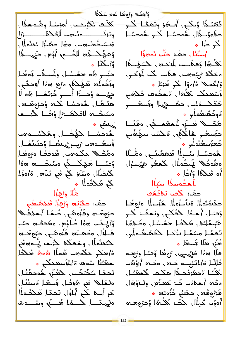وَاوَحُد وَوَهُدا شَهِ الْكَلَا كلاً بالأعصب أهوسًا وهُبوهاً. ەُنسَىچُەنُىھى . ەھْل جَعَْبُرْل مُحَدَّمَلُّل. وَعِهْدُ هُو لَادٌ مِنْ أَوُمٍ. حَيْ هُا وُامكِنَا \* دَّىبِ ۞ُه همَّىسُا. وِلَمَعِدَّف وَّههُما وِزَّحُماْه شَهُلُكُم هُرُّ ههُ أَوْحِكُم . حَيْ - وَحِسَنُوا أُمِسِي حَزْنُكُمَا هَ هَ لَا هِنُمُا. هُوَجِسًا كُلُّهِ وَجَوْوِهُـهِ. ەممُىشىدە لُلائىلامُنْ ; { وَائْسَا لِلاَسْتَعَمَّ \* Lette هُوصُلِ لِأُوكُلْ. وِهَٰكِنَـــوهِ وَأَسْطَنْتَ مِنْ رَبِّ إِنَّ مِنْ الْمَسْتَمَرَ مِنْ الْمَسْتَمَرِينَ مِنْ الْمَسْتَمَرِينَ مِنْ ال ەھۡڞَــٰلا ھڵــٰمەت. ھُەئھُــٰا ەٶَھھُــا وَّئَـــا هُدِكْـــدُ مَمْـدَـــــه هءُا كْلَصُلًا. مِنْزُو كَمْ هُمْ لَنْزَهِ. ݣَاهْوَا كُمْ هُكْثُم*اْ* لَه هُلَّا وَرَّجْزًا حفَ: حَدَّرُتُه وَرُقَّا شَدْهُتْفَ دوْهِ وَفُوْهُ مِنْ هُـمُـا أَـمَدْهُــلا وۡٛاٰ کُے ۔ ﴿ اَوۡ اٰ کَاوُم ۖ ہِ مَعۡدَدۡت حَصۡم ڤَـاؤُا. ەتىھىزە فُزُەھُــى. دۆەھَــە لمُنشَماً!. وهَكْلا لِأَمِمَهُ لِيُحْمَلُونَ هُ/هنْكُرِ حَكْدُهَا هُدَاًا هُءَهُ هَكَذَا هَعَّنْنَا مُدَّدَّ وَٱلْمُوَسَعِدِكُمْ ﴾ تحدْا مْخْتخْب. حْعْنُ هُوحِمْنُا. ەتمَاللا ھَم ھُوْصًا. وَّمَعْنَا ەَمنىُنَا. كَرِ أَسْمَا كُلِّي أَمْلُوُّا. تَحَدَّلْ هَٰكُشُمَاْ! وصحت وسأو مؤسسه وأستك وستكرث

كَتْعَنّْكُمْ أَمِكْمٍ. أَسْتَهُوْ وِتْعَدْلَ كُب حكَّەوَّــكَّا. حَّەجسُــل كُــر حَّەجسُــل گو دُا ھ إِسْتُطُلِ. حقَّ: حَتَّبَ ثُمُهُوُّا كْلُّهُ اوَّحِكَّىب لَمُوْتَدِهِ . كَمَنْهُمْ ذَا ەتىكلا ترىجەھە. ھكامما گىل گمۇكىلو. وْابْدَهْ كَادْوْا لْحُرْ هُٰذِيْا \* ۈشىدىك كلاُھ∫. ەَھشُەھ ئُلاھَم هُتَكَــــهُاب. حَقَّـــهِ الْمُ وَقُصِعَبَــــو ەُوجُھُىھُەلُر ۞ هُصْــا هُــنَى ٱحصْحَــهَى. هفُـُـا دَّسْعَىرِ ۿاتْكُمْ. ەَكْسُ سَهُقُب **َحَعَۃُمحُنُمَلُو ۞** هُوصِيًا مَيْ إِلَمْ هُهِمَّسِّي. وقُسْل ەھُەكْلا لَمُحُّەلَمَا. كْمْعَكُمْ ھَيُحَبُّلْ. أه شككًا وَاحًا \* ألمده المعدد المتجدل حقّ: لَكْمَ لَكَلْمُكَ حدْمُشَمُاْ هَىزَــزُه الْمُزْــزِمَاْ هَرَهِ هَٰــا وَّدَمَا. أَحدًا لِكَتَكَمِ. وتَعفَّزَ كُنْر هَّبُـمُّائِمْ. هَٰـٰٓدُـٰمْ هِمَّـٰئِـٰ وَحَٰـٰهُمُّا تُعمُّا ممُمُّا بَيْما كَحُمُّشُّءَلُنٍ. هُنَّى هَلَا وُّمْهَا ﴾ هال هؤل هُوَيْبِ، وُوهُدا وُصُدا ورُهمه كَاتْـا ةُ،لمَّكْجِمــه كَـــهو . هكـــه أَآوَّهُــ كُلُّمًا هَحِعَّرَكَحِـدًا هِكُـم كَعَعَمًا. هِ دَهِ أَحِكَمُ وَ ذَا لَحِقَّوْمٍ وَ الْوَهَا. فَزْوَقُه . حكْنُمْ خُزُّەۦُ \* أُهوُب كَبِلًا. ۖ يَكُنُ لَلْأَبِهَا وَجَوَهِ هُدِهِ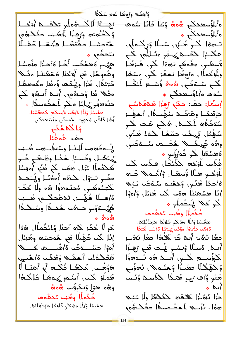وَأَوْحَلا وَرُوهُا مُوم الْكَلَا رَهِ \_\_ تَزَا لَٰٓا كُلْـــوَّهَ مَلْمٍ ۖ تَحْدَّفُـــدَ أَوْحُـــدَ ەڭلۇمىعىكىي شەش ۆئىلا ئائا مىھ ھ وَحْدُّوْدُه وَرُدِّزَا لْمَاهَٰذِ حَثَّكَ، وَمَ ەلمۇمىعىكى ، توەة كىر ھُنَى. مَسْلًا وَرِكْماًى. هُقحسْـا حفَّقهْـا فتُنهْـا خَفْـاْل سُحثُم ٭ هگد؛ا حصّدہ کے اُس مثّلاً ابسکہ هَيُبِ هُمْهُكُتَ أَكْلَ هُ اَحَدُّا هُؤُهِيمًا وَّسطَىرٍ. ەڤەھّ ئەۋا كْر. قُىزھُـا وهُومِهُا. هُم أَوْكُنَا هُمْعَكْنَا وشُلا وِلَوْثُداً. وَرُوهُا لَعْفَرْ لَكُو. وَمُتَعَا دْ:نْݣَالْ هُذَا وِكْتْتْ وْهِعْلْ هِدْمَعْكَلْ ݣُـــم مُـــةكُــم . قُوقُ وَمْـــم لَمُتْـَــل ەئْلا ھُا وُحـەُّەر. أَىـدْ أَىـھُوَ كَـر مثَّەھ ەكماؤَمىعىكى \* إِسْتُلْا: حفَّ: حدَّى رُقِبُوا هُدَفَدْسًم همُسُا وْالْمَا هَاهُم هَاسِكُم كَعِعْتَنَا. دِقِدْا وِمْرَكْكُمْ مُكْمُحِكَّا. أَهِجُتَ أَهُا دَّاضَّے هَٰدُود هُمتنَے هِنْمُعدكَے مَّةَحُكُّاهُ لَمُكْسِدٌ. هُكُم هُت كُمْ وَلِمُحْمَنُهِ مَّجْمًا. كَيْفَ حَمَّعُا كَدُّا هُـزُو. حق: هُوهُنْا وِهُ٥ كَيْݣُــْلَا هُـْـْــْتْ مْــةْكُبْرْ. لمُـــه>دَهوه للّـليل وممّنكُمـــهم هُـــزمــ ەممىھا كو ھُەرُقىرِ \* كِنْقُا. وِكَسَبًا هُكُمْ وِهَنْشَى كُسْرِ فُلَم سالَمْ نَقْدَتُه الْمُعْتُدَانِ وَجَمْعَ مَلَكَت هَٰٓڵڷڞؘٵٚڵ؞ٚٛڹٛٳ؞ؚۄ٥ٞڡ؉ٚٚڂ؆ۄۘؠؙٚ؇ۛۄ؋ٮۢٮؙٳ لَمُؤْكِّبٍ هَـْلَا وُّمِيْقَالٍ. وْأَكْــٰهَا ۚ قَــْهِ ەكىر ئىۋا. كىۋە آەۇئا وڭتھىد ة/حدًا هَنُـرٍ. وَحمَّنـه مَنْـةَحَبّ سُـُمْ لَــُ َكْتِنُدَهُمْسِ. هُحشُّەھۈُا ھَە وِلَّا غُصَّۃ إِمَا هِمَهِمْنَا هِمَهِ لَكُمْ هُوَمًا. وَأَوْوَا هُ/ٯَــُلَّا فُـهَّـــز. تَكمَّحَكُــم هُـــزت لُكُمْ كَمَلًا ۖ يُمَشَّمَلُو \* هُهُــةُمِــر حــهُــ هُـــدًا مِـنُــــدًا كُنْمَلًا وِهُنِي مُحَقَّمِد  $\cdot$  gog همَّسُا وْالْمَا دْهَكْر كْاوْكْا هرْجَانُاتُه.<br>كَاهُــ تَبْـــ(3 دَوْتُـــ كِـبْتِـْـل كَاسُب هُتـدَّال كَرِ لَا كُحَّرَ كَلَّهِ آَحِبًا وَّلْمُخُمَلًا. ۞ةَا إِبُل لَكَ حُؤْمِلًا هُم هُوَجِسُهِ وِهُزْمًا. دهُا نَهُ نَ أَبِهِ خَز لَكَمُ احِمُا نَهُ بَ أُورًا حسَّـــةكَ وَاقَــــــــه كَـــــــلا أَسك هُمثاًا وْسُبْرِ لُمْت شْيَ رُفِّ أَ هُتَكَدُمَكَ أَحْقَىٰهُ وْتَعَكَّبَ هَاحْسَىِي كُبِؤُسْتِ كُتْبٍ. أَيْتُمْ هُوَ شَـوْهُوْا هَوُهُـــــــــ . كَــحْصًــا كَــُحْـــه  $\int$  أحسْــا لُل وَحَكَمْكُمَّا مَعْدَٰا وَحَسَّمَلًا بِ نُوفُبِ هَدَاُوَ كَـٰبٍ أَمِنُـهِ يَحِمُّا كَاكْـهُا هْلُو وُاْفْ رْبِي هُتْتْدًا ݣْكْمِيكْ وُنْتْتْ  $\stackrel{\ast}{\bullet}$ والَّهُ مَدْمَ الْمَرْدُونَ اللَّهُ مِنْ  $\sim \Delta \hat{l}$ دَٰ;ا نَهُمَٰ;ا لَمَدْهُ حَدُدْهُا وِلًا سُرَىد كُنُّه لَمَّا وهُزم كَحَقَّوت همَّسُا وْالْمَا هَ هَكُو خَاوْجُا هَرْجُرُنَاسَة. 90ْ%). تُرَّـــد الْـعثَـــمِـدُا حثَـــدةُ م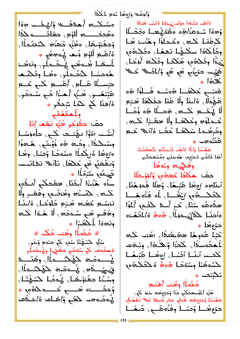وَأَوْحَلا وَرُوهُا مُوم الْكُلُّا

أَهْمِدًا مِنْ أَحْمَلُهُ مِنْ أَنْ يَا مِنْ أَنْ يَا مِنْ أَنَّ مِنْ أَنَّ مِنْ أَنَّ مِنْ أَنَّ مَ وَحَفَزَوُمَعُلَ. وَهُنَّى خَعْرُهَ ۖ حُكْشُمَالًا. .<br>ةُ/مَّىم لَّاؤُم وَّى لُّەھمَّى \*<br>اَمىھا شەمَّى لُّىشەار. وترمَّى: ـمُّەحسُــا ـكَرْثُــەـ*ـاْب*. ەھُــا وِثُـك*ـُــ*َ حمِيبُ اللَّهُ عَلَيْهِمْ لَكُنَّ كَلَّتِهِمْ مَنْ الْمَسْلَمَ مِنْ هَبْتَمَسِ هُنَّى أَحِيًّا كَبِ مَّسْوَجُرٍ. ەُ/ھىُل كُمْ كَمُهُ تَبْحَكُمْ \* ولمحتمئي حقَّ: حَكَّوْكُو هُزُو كُمَّة إِثْل أَنْتُبِ ادُوْٓا بِهَيْبِ كَلَّى حَادِفِهُ ا وِسُمَكُمَاً. وِحُـةَ ۞ُهُ ؤُوِّسَىٰ. هَـهؤُا ەرەھدا ەرىگدىل مىئەھدا ۆھئىل. وھُدا وَسِفَعِبَ هِم يُحْظُلِ. تَأَلَّلا تَمَاتَــب \* الْمَاشِعْ مِصْرِحْ مِنُهِ هُنُتْا أَحَطًا. مِكْحَكُمِ أَنَّكُم لْكِــرَهِ . ۖ كَلَّـــْزَرَهُ ۖ وِهُدَكَّــهِ ۖ وَفُـقَــزٍ ۖ وَلَٰلَّا تنسّع لمُعْده مْجْم كُلّْفُكل وْلْمَالْ وهُقَــرِ هُــع مُـُــمتَــه . لَا ـمُــَـةَا كَـــه وتحذا لمكثئرا \* **& حُثْدَلُمْ وهُن، حُكْمِي هِ** مُأَلِّ كَمُؤَتَّا مُّهِ كُمْ حَثَّهِ وَمِنُو. مَّعْدُه، الرُمڠُم حَقَّصُ كُمْ مَعْدُمُّ لْمُسْــدَمَة للأَوْلائِـــداً. وهُنَـــد بَالْمِسْكُمْ مَعْدَدَة لِمَكْمَلْكُسُمْاً. وِسُنُوْا حَفَزَوُمِعُا. إِنْمَدُا كَتَنْهُتَا. وَجِدَهُ فَقَدْ مَسْلِمٍ كَمَسْدَهُ مَلَاهُ مِ لْمَحْـــەما لْحْكَمِ وَٱهْــاتْ هَٰ/حَــدُها

هُ/هُـد حَبُّدةَ الْمَهْرَبِّ حَمَّاهُ مَا مَثَّلًا الْمَتَدَّمَّةَ مَعْتَدَّاتِ وَهُمَا شَهْمَاهُمْ مِقْتَهِصًا مِنْتَصَلَّا كْرِهُنْا كْلُهِ ، مِنْكُمْلُوْا وِحُنُنَ هُا وِكَالْحُدُّا سِكْنُهُا نُعِمًا. وثَكْرُهُ حْذًا وِثْلَاهُم مُتَلَّدًا وِثُلُثَ أُوْحُلُّ. كَفَيْبِ حَوْيَنَهِمْ شَمٍّ وَٱلْمَشَلَّا تَمَـلاً **Aricle** هْسُــع عُــٰهُــا هُوَـُــه هُــاؤُا هُو هُؤُولًا . هُ/مُلْ وِلًا هُنْا حِكْكَعُا مْــْ1مْ لًا يُحْبِ مِنْ حَمْدِهِ . هُجِبُلَا هُو ذُخُبِ بْمِعْلَوْهِ وِحُكْشًا وِلًا هِجَمْءَا جُمْعٍ، وجَرْهُده عَمْدُ لَهُ الْحَدْ؛ هُ أَلَمْ كَدِمِ √ိယ်ံံံံံံံံ همَسُل وَٱلْمَا هَاهُمَا هَامِكُمْ كُمْعَتَّبْدًا. أَهُا دَّاتَّبِ هَٰدُوَت هُمتنَّبِ وَزُمْعَدَكَبِ وقثيره وتمفط حقَّ: هَكُعُلُّ كَعَدَةُ مِ وَاتِوَْحِطْلُ أَسْلَاهِهِ وَوَهُا هَبُسُمَا. وَهَالَا فَوضِمُنَا. لِمُفْكِ وَهُ مِنْ فَسْرٍ . لَمَ قُتُوهَا الْمُسْرِ هذُههُه مَثْلًا. كَمِ أَسْمَ حَقَّمٍ أَبَلَوُّا ەَنَصْلَا كَتْلَايْجِمَانْ. الْمَعْمَّةُ مْالْمُضَرْه دووهُا \* كَبْلِ هُدْوِهُا هِدَهُ حَكْلَهُ اللهُ اهْدَى كَلَّهِ أَحدُّدمكُمْل: كَلْدُرُا وَجَلَابُهُل: وِسُوْد كلحب أملًا أَدَّسًا. رُوهُا هَزَمهُا لمشوهُمُا وِمُتَوَسَّلَ هُوهُ وَلَحْفُلِهُور ئىڭتىپ ۋ حُذُه أَل وهُن، أُهْنُوم هُنِّهِ ٱلْمُوسِعِدِكْمِ دَٰرًا وَجَرَهِ هُدِهِ مَنْ وَلَى بِ همُسُلْ وُجَوَهُه فَرْضٌ حَجْرٍ وَّسَعْلَ كَلا تَقْمُلُهِ حرِّهِ هُـــا وَحَسُّــا وِقُتُوهُـــى. خُــهُـــا